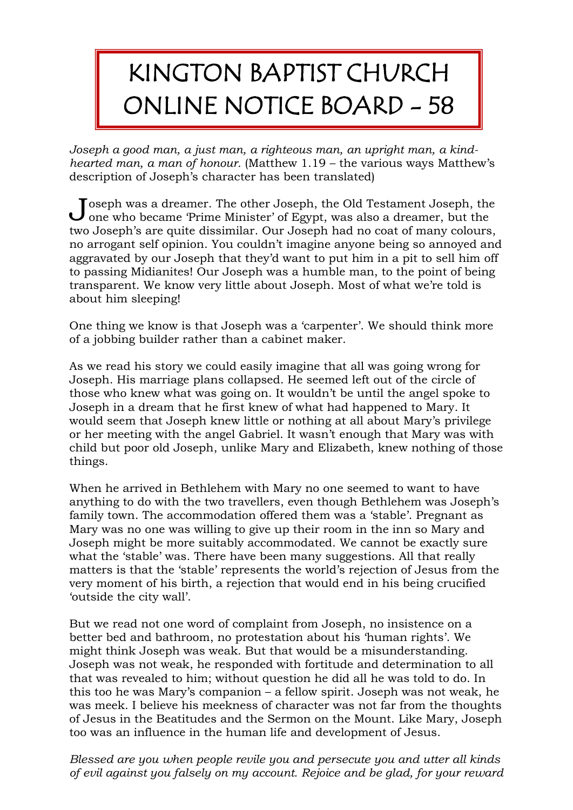## KINGTON BAPTIST CHURCH ONLINE NOTICE BOARD - 58

*Joseph a good man, a just man, a righteous man, an upright man, a kindhearted man, a man of honour.* (Matthew 1.19 – the various ways Matthew's description of Joseph's character has been translated)

Toseph was a dreamer. The other Joseph, the Old Testament Joseph, the  $\begin{array}{c} \textbf{Joseph was a dreamer.} \text{ The other Joseph, the Old Testament Joseph, the One who became Prime Minister' of Egypt, was also a dreamer, but the\n\end{array}$ two Joseph's are quite dissimilar. Our Joseph had no coat of many colours, no arrogant self opinion. You couldn't imagine anyone being so annoyed and aggravated by our Joseph that they'd want to put him in a pit to sell him off to passing Midianites! Our Joseph was a humble man, to the point of being transparent. We know very little about Joseph. Most of what we're told is about him sleeping!

One thing we know is that Joseph was a 'carpenter'. We should think more of a jobbing builder rather than a cabinet maker.

As we read his story we could easily imagine that all was going wrong for Joseph. His marriage plans collapsed. He seemed left out of the circle of those who knew what was going on. It wouldn't be until the angel spoke to Joseph in a dream that he first knew of what had happened to Mary. It would seem that Joseph knew little or nothing at all about Mary's privilege or her meeting with the angel Gabriel. It wasn't enough that Mary was with child but poor old Joseph, unlike Mary and Elizabeth, knew nothing of those things.

When he arrived in Bethlehem with Mary no one seemed to want to have anything to do with the two travellers, even though Bethlehem was Joseph's family town. The accommodation offered them was a 'stable'. Pregnant as Mary was no one was willing to give up their room in the inn so Mary and Joseph might be more suitably accommodated. We cannot be exactly sure what the 'stable' was. There have been many suggestions. All that really matters is that the 'stable' represents the world's rejection of Jesus from the very moment of his birth, a rejection that would end in his being crucified 'outside the city wall'.

But we read not one word of complaint from Joseph, no insistence on a better bed and bathroom, no protestation about his 'human rights'. We might think Joseph was weak. But that would be a misunderstanding. Joseph was not weak, he responded with fortitude and determination to all that was revealed to him; without question he did all he was told to do. In this too he was Mary's companion – a fellow spirit. Joseph was not weak, he was meek. I believe his meekness of character was not far from the thoughts of Jesus in the Beatitudes and the Sermon on the Mount. Like Mary, Joseph too was an influence in the human life and development of Jesus.

*Blessed are you when people revile you and persecute you and utter all kinds of evil against you falsely on my account. Rejoice and be glad, for your reward*